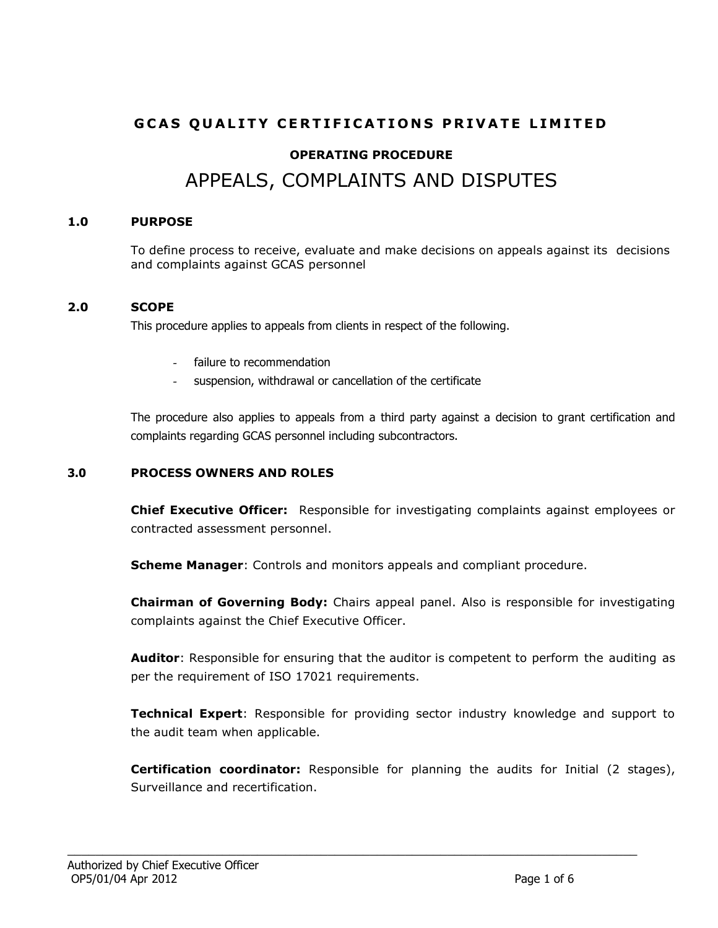# **GCAS QUALITY CERTIFICATIONS PRIVATE LIMITED OPERATING PROCEDURE** APPEALS, COMPLAINTS AND DISPUTES

#### **1.0 PURPOSE**

To define process to receive, evaluate and make decisions on appeals against its decisions and complaints against GCAS personnel

#### **2.0 SCOPE**

This procedure applies to appeals from clients in respect of the following.

- failure to recommendation
- suspension, withdrawal or cancellation of the certificate

The procedure also applies to appeals from a third party against a decision to grant certification and complaints regarding GCAS personnel including subcontractors.

#### **3.0 PROCESS OWNERS AND ROLES**

**Chief Executive Officer:** Responsible for investigating complaints against employees or contracted assessment personnel.

**Scheme Manager**: Controls and monitors appeals and compliant procedure.

\_\_\_\_\_\_\_\_\_\_\_\_\_\_\_\_\_\_\_\_\_\_\_\_\_\_\_\_\_\_\_\_\_\_\_\_\_\_\_\_\_\_\_\_\_\_\_\_\_\_\_\_\_\_\_\_\_\_\_\_\_\_\_\_\_\_\_\_\_\_\_\_\_\_\_\_\_\_\_\_\_

**Chairman of Governing Body:** Chairs appeal panel. Also is responsible for investigating complaints against the Chief Executive Officer.

**Auditor**: Responsible for ensuring that the auditor is competent to perform the auditing as per the requirement of ISO 17021 requirements.

**Technical Expert**: Responsible for providing sector industry knowledge and support to the audit team when applicable.

**Certification coordinator:** Responsible for planning the audits for Initial (2 stages), Surveillance and recertification.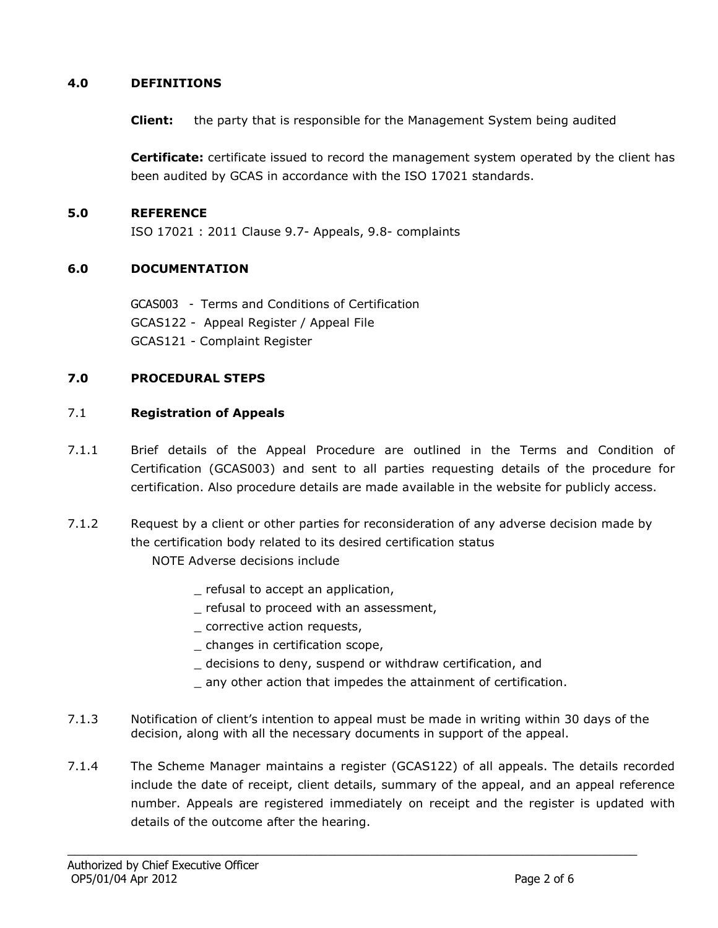#### **4.0 DEFINITIONS**

**Client:** the party that is responsible for the Management System being audited

**Certificate:** certificate issued to record the management system operated by the client has been audited by GCAS in accordance with the ISO 17021 standards.

#### **5.0 REFERENCE**

ISO 17021 : 2011 Clause 9.7- Appeals, 9.8- complaints

#### **6.0 DOCUMENTATION**

GCAS003 - Terms and Conditions of Certification GCAS122 - Appeal Register / Appeal File GCAS121 - Complaint Register

#### **7.0 PROCEDURAL STEPS**

#### 7.1 **Registration of Appeals**

- 7.1.1 Brief details of the Appeal Procedure are outlined in the Terms and Condition of Certification (GCAS003) and sent to all parties requesting details of the procedure for certification. Also procedure details are made available in the website for publicly access.
- 7.1.2 Request by a client or other parties for reconsideration of any adverse decision made by the certification body related to its desired certification status
	- NOTE Adverse decisions include
		- \_ refusal to accept an application,
		- refusal to proceed with an assessment,
		- \_ corrective action requests,
		- \_ changes in certification scope,
		- \_ decisions to deny, suspend or withdraw certification, and
		- \_ any other action that impedes the attainment of certification.
- 7.1.3 Notification of client's intention to appeal must be made in writing within 30 days of the decision, along with all the necessary documents in support of the appeal.

\_\_\_\_\_\_\_\_\_\_\_\_\_\_\_\_\_\_\_\_\_\_\_\_\_\_\_\_\_\_\_\_\_\_\_\_\_\_\_\_\_\_\_\_\_\_\_\_\_\_\_\_\_\_\_\_\_\_\_\_\_\_\_\_\_\_\_\_\_\_\_\_\_\_\_\_\_\_\_\_\_

7.1.4 The Scheme Manager maintains a register (GCAS122) of all appeals. The details recorded include the date of receipt, client details, summary of the appeal, and an appeal reference number. Appeals are registered immediately on receipt and the register is updated with details of the outcome after the hearing.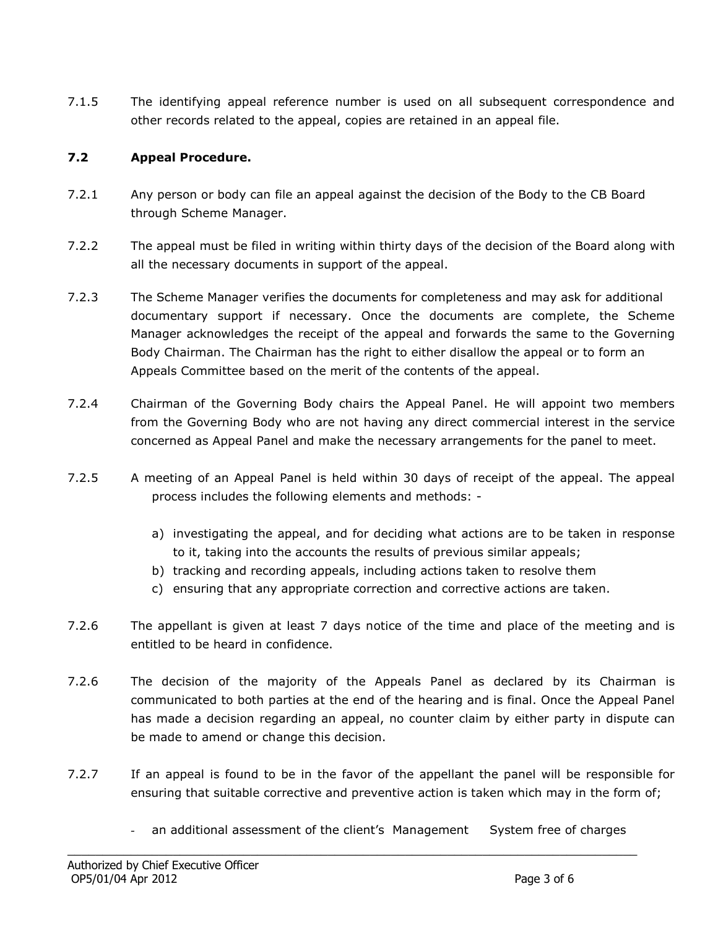7.1.5 The identifying appeal reference number is used on all subsequent correspondence and other records related to the appeal, copies are retained in an appeal file.

## **7.2 Appeal Procedure.**

- 7.2.1 Any person or body can file an appeal against the decision of the Body to the CB Board through Scheme Manager.
- 7.2.2 The appeal must be filed in writing within thirty days of the decision of the Board along with all the necessary documents in support of the appeal.
- 7.2.3 The Scheme Manager verifies the documents for completeness and may ask for additional documentary support if necessary. Once the documents are complete, the Scheme Manager acknowledges the receipt of the appeal and forwards the same to the Governing Body Chairman. The Chairman has the right to either disallow the appeal or to form an Appeals Committee based on the merit of the contents of the appeal.
- 7.2.4 Chairman of the Governing Body chairs the Appeal Panel. He will appoint two members from the Governing Body who are not having any direct commercial interest in the service concerned as Appeal Panel and make the necessary arrangements for the panel to meet.
- 7.2.5 A meeting of an Appeal Panel is held within 30 days of receipt of the appeal. The appeal process includes the following elements and methods:
	- a) investigating the appeal, and for deciding what actions are to be taken in response to it, taking into the accounts the results of previous similar appeals;
	- b) tracking and recording appeals, including actions taken to resolve them
	- c) ensuring that any appropriate correction and corrective actions are taken.
- 7.2.6 The appellant is given at least 7 days notice of the time and place of the meeting and is entitled to be heard in confidence.
- 7.2.6 The decision of the majority of the Appeals Panel as declared by its Chairman is communicated to both parties at the end of the hearing and is final. Once the Appeal Panel has made a decision regarding an appeal, no counter claim by either party in dispute can be made to amend or change this decision.
- 7.2.7 If an appeal is found to be in the favor of the appellant the panel will be responsible for ensuring that suitable corrective and preventive action is taken which may in the form of;
	- an additional assessment of the client's Management System free of charges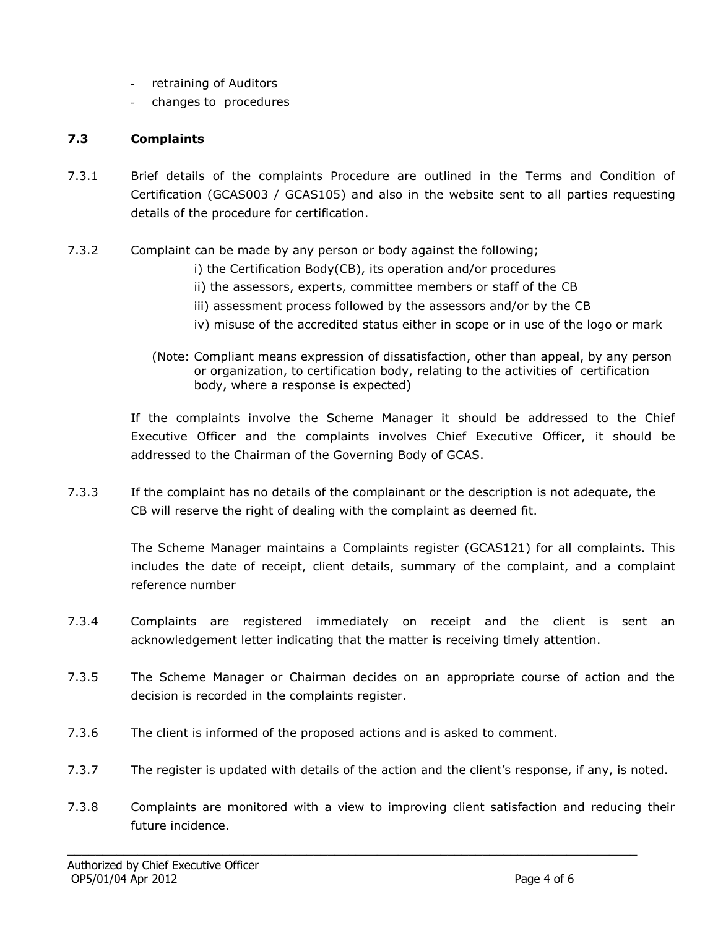- retraining of Auditors
- changes to procedures

## **7.3 Complaints**

- 7.3.1 Brief details of the complaints Procedure are outlined in the Terms and Condition of Certification (GCAS003 / GCAS105) and also in the website sent to all parties requesting details of the procedure for certification.
- 7.3.2 Complaint can be made by any person or body against the following;
	- i) the Certification Body(CB), its operation and/or procedures
	- ii) the assessors, experts, committee members or staff of the CB
	- iii) assessment process followed by the assessors and/or by the CB
	- iv) misuse of the accredited status either in scope or in use of the logo or mark
	- (Note: Compliant means expression of dissatisfaction, other than appeal, by any person or organization, to certification body, relating to the activities of certification body, where a response is expected)

If the complaints involve the Scheme Manager it should be addressed to the Chief Executive Officer and the complaints involves Chief Executive Officer, it should be addressed to the Chairman of the Governing Body of GCAS.

7.3.3 If the complaint has no details of the complainant or the description is not adequate, the CB will reserve the right of dealing with the complaint as deemed fit.

> The Scheme Manager maintains a Complaints register (GCAS121) for all complaints. This includes the date of receipt, client details, summary of the complaint, and a complaint reference number

- 7.3.4 Complaints are registered immediately on receipt and the client is sent an acknowledgement letter indicating that the matter is receiving timely attention.
- 7.3.5 The Scheme Manager or Chairman decides on an appropriate course of action and the decision is recorded in the complaints register.
- 7.3.6 The client is informed of the proposed actions and is asked to comment.
- 7.3.7 The register is updated with details of the action and the client's response, if any, is noted.
- 7.3.8 Complaints are monitored with a view to improving client satisfaction and reducing their future incidence.

\_\_\_\_\_\_\_\_\_\_\_\_\_\_\_\_\_\_\_\_\_\_\_\_\_\_\_\_\_\_\_\_\_\_\_\_\_\_\_\_\_\_\_\_\_\_\_\_\_\_\_\_\_\_\_\_\_\_\_\_\_\_\_\_\_\_\_\_\_\_\_\_\_\_\_\_\_\_\_\_\_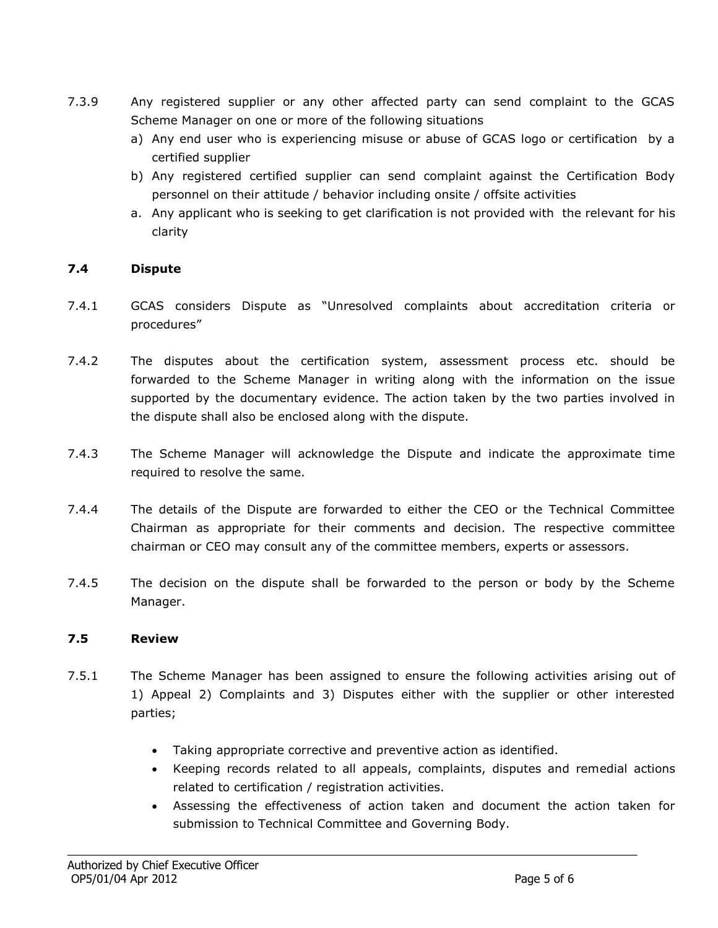- 7.3.9 Any registered supplier or any other affected party can send complaint to the GCAS Scheme Manager on one or more of the following situations
	- a) Any end user who is experiencing misuse or abuse of GCAS logo or certification by a certified supplier
	- b) Any registered certified supplier can send complaint against the Certification Body personnel on their attitude / behavior including onsite / offsite activities
	- a. Any applicant who is seeking to get clarification is not provided with the relevant for his clarity

## **7.4 Dispute**

- 7.4.1 GCAS considers Dispute as "Unresolved complaints about accreditation criteria or procedures"
- 7.4.2 The disputes about the certification system, assessment process etc. should be forwarded to the Scheme Manager in writing along with the information on the issue supported by the documentary evidence. The action taken by the two parties involved in the dispute shall also be enclosed along with the dispute.
- 7.4.3 The Scheme Manager will acknowledge the Dispute and indicate the approximate time required to resolve the same.
- 7.4.4 The details of the Dispute are forwarded to either the CEO or the Technical Committee Chairman as appropriate for their comments and decision. The respective committee chairman or CEO may consult any of the committee members, experts or assessors.
- 7.4.5 The decision on the dispute shall be forwarded to the person or body by the Scheme Manager.

#### **7.5 Review**

- 7.5.1 The Scheme Manager has been assigned to ensure the following activities arising out of 1) Appeal 2) Complaints and 3) Disputes either with the supplier or other interested parties;
	- Taking appropriate corrective and preventive action as identified.

\_\_\_\_\_\_\_\_\_\_\_\_\_\_\_\_\_\_\_\_\_\_\_\_\_\_\_\_\_\_\_\_\_\_\_\_\_\_\_\_\_\_\_\_\_\_\_\_\_\_\_\_\_\_\_\_\_\_\_\_\_\_\_\_\_\_\_\_\_\_\_\_\_\_\_\_\_\_\_\_\_

- Keeping records related to all appeals, complaints, disputes and remedial actions related to certification / registration activities.
- Assessing the effectiveness of action taken and document the action taken for submission to Technical Committee and Governing Body.